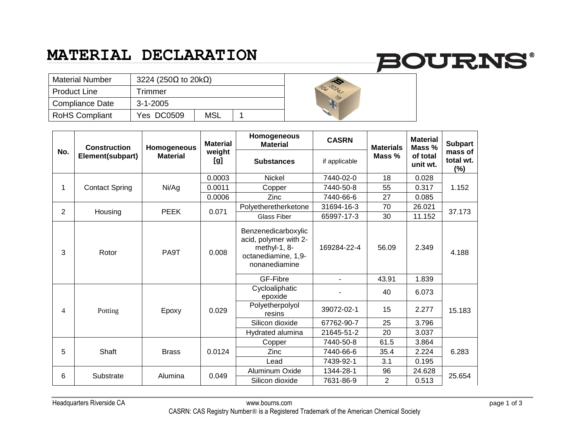### **MATERIAL DECLARATION**

# **BOURNS®**

| <b>Material Number</b> | 3224 (250 $\Omega$ to 20k $\Omega$ ) |     |  |  |
|------------------------|--------------------------------------|-----|--|--|
| <b>Product Line</b>    | Trimmer                              |     |  |  |
| <b>Compliance Date</b> | $3 - 1 - 2005$                       |     |  |  |
| <b>RoHS Compliant</b>  | Yes DC0509                           | MSL |  |  |

| No.            | <b>Construction</b><br>Element(subpart) | Homogeneous<br><b>Material</b> | <b>Material</b><br>weight<br>[g] | Homogeneous<br><b>Material</b>                                                                       | <b>CASRN</b>             | <b>Materials</b><br>Mass % | <b>Material</b><br>Mass %<br>of total<br>unit wt. | <b>Subpart</b><br>mass of<br>total wt.<br>$(\%)$ |
|----------------|-----------------------------------------|--------------------------------|----------------------------------|------------------------------------------------------------------------------------------------------|--------------------------|----------------------------|---------------------------------------------------|--------------------------------------------------|
|                |                                         |                                |                                  | <b>Substances</b>                                                                                    | if applicable            |                            |                                                   |                                                  |
| 1              | <b>Contact Spring</b>                   | Ni/Ag                          | 0.0003                           | <b>Nickel</b>                                                                                        | 7440-02-0                | 18                         | 0.028                                             | 1.152                                            |
|                |                                         |                                | 0.0011                           | Copper                                                                                               | 7440-50-8                | 55                         | 0.317                                             |                                                  |
|                |                                         |                                | 0.0006                           | Zinc                                                                                                 | 7440-66-6                | 27                         | 0.085                                             |                                                  |
| $\overline{2}$ | Housing                                 | <b>PEEK</b>                    | 0.071                            | Polyetheretherketone                                                                                 | 31694-16-3               | 70                         | 26.021                                            | 37.173                                           |
|                |                                         |                                |                                  | Glass Fiber                                                                                          | 65997-17-3               | 30                         | 11.152                                            |                                                  |
| 3              | Rotor                                   | PA9T                           | 0.008                            | Benzenedicarboxylic<br>acid, polymer with 2-<br>methyl-1, 8-<br>octanediamine, 1,9-<br>nonanediamine | 169284-22-4              | 56.09                      | 2.349                                             | 4.188                                            |
|                |                                         |                                |                                  | GF-Fibre                                                                                             | $\overline{\phantom{0}}$ | 43.91                      | 1.839                                             |                                                  |
| $\overline{4}$ | Potting                                 | Epoxy                          | 0.029                            | Cycloaliphatic<br>epoxide                                                                            |                          | 40                         | 6.073                                             | 15.183                                           |
|                |                                         |                                |                                  | Polyetherpolyol<br>resins                                                                            | 39072-02-1               | 15                         | 2.277                                             |                                                  |
|                |                                         |                                |                                  | Silicon dioxide                                                                                      | 67762-90-7               | 25                         | 3.796                                             |                                                  |
|                |                                         |                                |                                  | Hydrated alumina                                                                                     | 21645-51-2               | 20                         | 3.037                                             |                                                  |
| 5              | Shaft                                   | <b>Brass</b>                   | 0.0124                           | Copper                                                                                               | 7440-50-8                | 61.5                       | 3.864                                             | 6.283                                            |
|                |                                         |                                |                                  | Zinc                                                                                                 | 7440-66-6                | 35.4                       | 2.224                                             |                                                  |
|                |                                         |                                |                                  | Lead                                                                                                 | 7439-92-1                | 3.1                        | 0.195                                             |                                                  |
| 6              | Substrate                               | Alumina                        | 0.049                            | Aluminum Oxide                                                                                       | 1344-28-1                | 96                         | 24.628                                            | 25.654                                           |
|                |                                         |                                |                                  | Silicon dioxide                                                                                      | 7631-86-9                | $\overline{2}$             | 0.513                                             |                                                  |

Headquarters Riverside CA www.bourns.com page 1 of 3 CASRN: CAS Registry Number® is a Registered Trademark of the American Chemical Society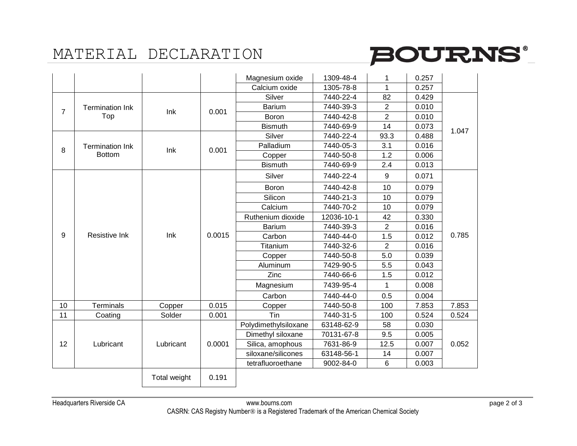## MATERIAL DECLARATION



|                |                                         |              |        | Magnesium oxide      | 1309-48-4  |                | 0.257 |       |
|----------------|-----------------------------------------|--------------|--------|----------------------|------------|----------------|-------|-------|
|                |                                         |              |        | Calcium oxide        | 1305-78-8  | 1              | 0.257 |       |
| $\overline{7}$ | <b>Termination Ink</b><br>Top           |              | 0.001  | Silver               | 7440-22-4  | 82             | 0.429 |       |
|                |                                         | Ink          |        | <b>Barium</b>        | 7440-39-3  | $\overline{2}$ | 0.010 | 1.047 |
|                |                                         |              |        | Boron                | 7440-42-8  | $\overline{2}$ | 0.010 |       |
|                |                                         |              |        | <b>Bismuth</b>       | 7440-69-9  | 14             | 0.073 |       |
|                | <b>Termination Ink</b><br><b>Bottom</b> | Ink          | 0.001  | Silver               | 7440-22-4  | 93.3           | 0.488 |       |
| 8              |                                         |              |        | Palladium            | 7440-05-3  | 3.1            | 0.016 |       |
|                |                                         |              |        | Copper               | 7440-50-8  | 1.2            | 0.006 |       |
|                |                                         |              |        | <b>Bismuth</b>       | 7440-69-9  | 2.4            | 0.013 |       |
|                | Resistive Ink                           | Ink          | 0.0015 | Silver               | 7440-22-4  | 9              | 0.071 | 0.785 |
|                |                                         |              |        | Boron                | 7440-42-8  | 10             | 0.079 |       |
|                |                                         |              |        | Silicon              | 7440-21-3  | 10             | 0.079 |       |
|                |                                         |              |        | Calcium              | 7440-70-2  | 10             | 0.079 |       |
|                |                                         |              |        | Ruthenium dioxide    | 12036-10-1 | 42             | 0.330 |       |
|                |                                         |              |        | <b>Barium</b>        | 7440-39-3  | $\overline{2}$ | 0.016 |       |
| 9              |                                         |              |        | Carbon               | 7440-44-0  | 1.5            | 0.012 |       |
|                |                                         |              |        | Titanium             | 7440-32-6  | $\overline{2}$ | 0.016 |       |
|                |                                         |              |        | Copper               | 7440-50-8  | 5.0            | 0.039 |       |
|                |                                         |              |        | Aluminum             | 7429-90-5  | 5.5            | 0.043 |       |
|                |                                         |              |        | Zinc                 | 7440-66-6  | 1.5            | 0.012 |       |
|                |                                         |              |        | Magnesium            | 7439-95-4  | 1              | 0.008 |       |
|                |                                         |              |        | Carbon               | 7440-44-0  | 0.5            | 0.004 |       |
| 10             | <b>Terminals</b>                        | Copper       | 0.015  | Copper               | 7440-50-8  | 100            | 7.853 | 7.853 |
| 11             | Coating                                 | Solder       | 0.001  | Tin                  | 7440-31-5  | 100            | 0.524 | 0.524 |
|                | Lubricant                               | Lubricant    | 0.0001 | Polydimethylsiloxane | 63148-62-9 | 58             | 0.030 | 0.052 |
|                |                                         |              |        | Dimethyl siloxane    | 70131-67-8 | 9.5            | 0.005 |       |
| 12             |                                         |              |        | Silica, amophous     | 7631-86-9  | 12.5           | 0.007 |       |
|                |                                         |              |        | siloxane/silicones   | 63148-56-1 | 14             | 0.007 |       |
|                |                                         |              |        | tetrafluoroethane    | 9002-84-0  | 6              | 0.003 |       |
|                |                                         | Total weight | 0.191  |                      |            |                |       |       |